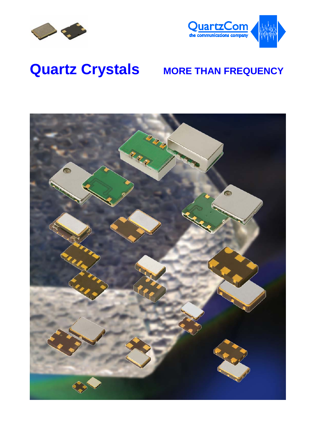



## **Quartz Crystals MORE THAN FREQUENCY**

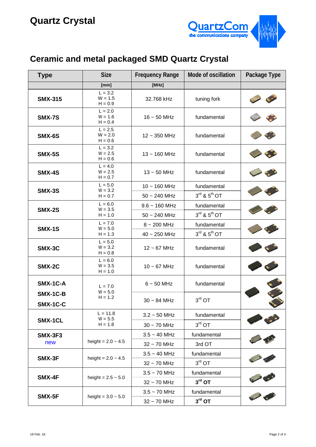

## **Ceramic and metal packaged SMD Quartz Crystal**

| <b>Type</b>           | <b>Size</b>                         | <b>Frequency Range</b> | <b>Mode of oscillation</b>           | Package Type |
|-----------------------|-------------------------------------|------------------------|--------------------------------------|--------------|
|                       | [mm]                                | [MHz]                  |                                      |              |
| <b>SMX-315</b>        | $L = 3.2$<br>$W = 1.5$<br>$H = 0.9$ | 32.768 kHz             | tuning fork                          |              |
| <b>SMX-7S</b>         | $L = 2.0$<br>$W = 1.6$<br>$H = 0.4$ | $16 \sim 50$ MHz       | fundamental                          |              |
| SMX-6S                | $L = 2.5$<br>$W = 2.0$<br>$H = 0.6$ | $12 \sim 350$ MHz      | fundamental                          |              |
| <b>SMX-5S</b>         | $L = 3.2$<br>$W = 2.5$<br>$H = 0.6$ | $13 - 160$ MHz         | fundamental                          |              |
| <b>SMX-4S</b>         | $L = 4.0$<br>$W = 2.5$<br>$H = 0.7$ | $13 \sim 50$ MHz       | fundamental                          |              |
|                       | $L = 5.0$<br>$W = 3.2$              | $10 - 160$ MHz         | fundamental                          |              |
| <b>SMX-3S</b>         | $H = 0.7$                           | $50 - 240$ MHz         | $3^{\text{rd}}$ & $5^{\text{th}}$ OT |              |
|                       | $L = 6.0$<br>$W = 3.5$              | $9.6 - 160$ MHz        | fundamental                          |              |
| <b>SMX-2S</b>         | $H = 1.0$                           | $50 - 240$ MHz         | $3^{\text{rd}}$ & $5^{\text{th}}$ OT |              |
|                       | $L = 7.0$                           | $8 \sim 200$ MHz       | fundamental                          |              |
| <b>SMX-1S</b>         | $W = 5.0$<br>$H = 1.3$              | $40 \sim 250$ MHz      | $3^{\text{rd}}$ & $5^{\text{th}}$ OT |              |
| SMX-3C                | $L = 5.0$<br>$W = 3.2$<br>$H = 0.8$ | $12 \sim 67$ MHz       | fundamental                          |              |
| SMX-2C                | $L = 6.0$<br>$W = 3.5$<br>$H = 1.0$ | $10 \sim 67$ MHz       | fundamental                          |              |
| SMX-1C-A              | $L = 7.0$<br>$W = 5.0$<br>$H = 1.2$ | $6 - 50$ MHz           | fundamental                          |              |
| SMX-1C-B<br>SMX-1C-C  |                                     | $30 \sim 84$ MHz       | $3^{\text{rd}}$ OT                   |              |
| SMX-1CL               | $L = 11.8$                          | $3.2 \sim 50$ MHz      | fundamental                          |              |
|                       | $W = 5.5$<br>$H = 1.8$              | $30 \sim 70$ MHz       | $3^{\text{rd}}$ OT                   |              |
| <b>SMX-3F3</b><br>new |                                     | $3.5 - 40$ MHz         | fundamental                          |              |
|                       | height = $2.0 - 4.5$                | $32 \sim 70$ MHz       | 3rd OT                               |              |
| SMX-3F                |                                     | $3.5 - 40$ MHz         | fundamental                          |              |
|                       | height = $2.0 - 4.5$                | $32 \sim 70$ MHz       | $3^{\text{rd}}$ OT                   | 20<br>P      |
|                       |                                     | $3.5 - 70$ MHz         | fundamental                          |              |
| SMX-4F                | height = $2.5 \sim 5.0$             | $32 \sim 70$ MHz       | $3rd$ OT                             |              |
|                       |                                     | $3.5 - 70$ MHz         | fundamental                          |              |
| SMX-5F                | height = $3.0 \sim 5.0$             | 32~70 MHz              | $3^{\text{rd}}$ OT                   |              |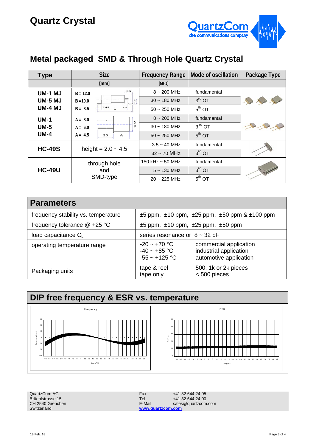

## **Metal packaged SMD & Through Hole Quartz Crystal**

| <b>Type</b>    | <b>Size</b>          |                | <b>Frequency Range</b> | Mode of oscillation | Package Type |
|----------------|----------------------|----------------|------------------------|---------------------|--------------|
|                | [mm]                 |                | [MHz]                  |                     |              |
| <b>UM-1 MJ</b> | $B = 12.0$           | 2.5            | $8 \sim 200$ MHz       | fundamental         |              |
| <b>UM-5 MJ</b> | $B = 10.0$           | 1.5            | $30 - 180$ MHz         | $3rd$ OT            |              |
| <b>UM-4 MJ</b> | $B = 8.5$            | 1.45<br>1.5    | $50 - 250$ MHz         | $5^{\text{th}}$ OT  |              |
| $UM-1$         | $A = 8.0$            | 0              | $8 - 200$ MHz          | fundamental         |              |
| $UM-5$         | $A = 6.0$            |                | $30 - 180$ MHz         | $3rd$ OT            |              |
| $UM-4$         | $A = 4.5$            | 20<br>А        | $50 - 250$ MHz         | $5th$ OT            |              |
| <b>HC-49S</b>  |                      | $3.5 - 40$ MHz | fundamental            |                     |              |
|                | height = $2.0 - 4.5$ |                | $32 \sim 70$ MHz       | $3rd$ OT            |              |
|                |                      | through hole   | 150 kHz $\sim$ 50 MHz  | fundamental         |              |
| <b>HC-49U</b>  | and<br>SMD-type      |                | $5 \sim 130$ MHz       | $3rd$ OT            |              |
|                |                      |                | $20 - 225$ MHz         | $5th$ OT            |              |

| <b>Parameters</b>                   |                                                                       |                                                                            |  |
|-------------------------------------|-----------------------------------------------------------------------|----------------------------------------------------------------------------|--|
| frequency stability vs. temperature | $\pm 5$ ppm, $\pm 10$ ppm, $\pm 25$ ppm, $\pm 50$ ppm & $\pm 100$ ppm |                                                                            |  |
| frequency tolerance $@ + 25 °C$     | $\pm 5$ ppm, $\pm 10$ ppm, $\pm 25$ ppm, $\pm 50$ ppm                 |                                                                            |  |
| load capacitance $C_L$              | series resonance or $8 \sim 32$ pF                                    |                                                                            |  |
| operating temperature range         | $-20 - +70$ °C<br>$-40 - +85$ °C<br>$-55 - +125$ °C                   | commercial application<br>industrial application<br>automotive application |  |
| Packaging units                     | tape & reel<br>tape only                                              | 500, 1k or 2k pieces<br>$< 500$ pieces                                     |  |



| QuartzCom AG     | Fax               | +41 32 644 24 05    |
|------------------|-------------------|---------------------|
| Brüehlstrasse 15 | <b>Tel</b>        | +41 32 644 24 00    |
| CH 2540 Grenchen | E-Mail            | sales@guartzcom.com |
| Switzerland      | www.quartzcom.com |                     |
|                  |                   |                     |